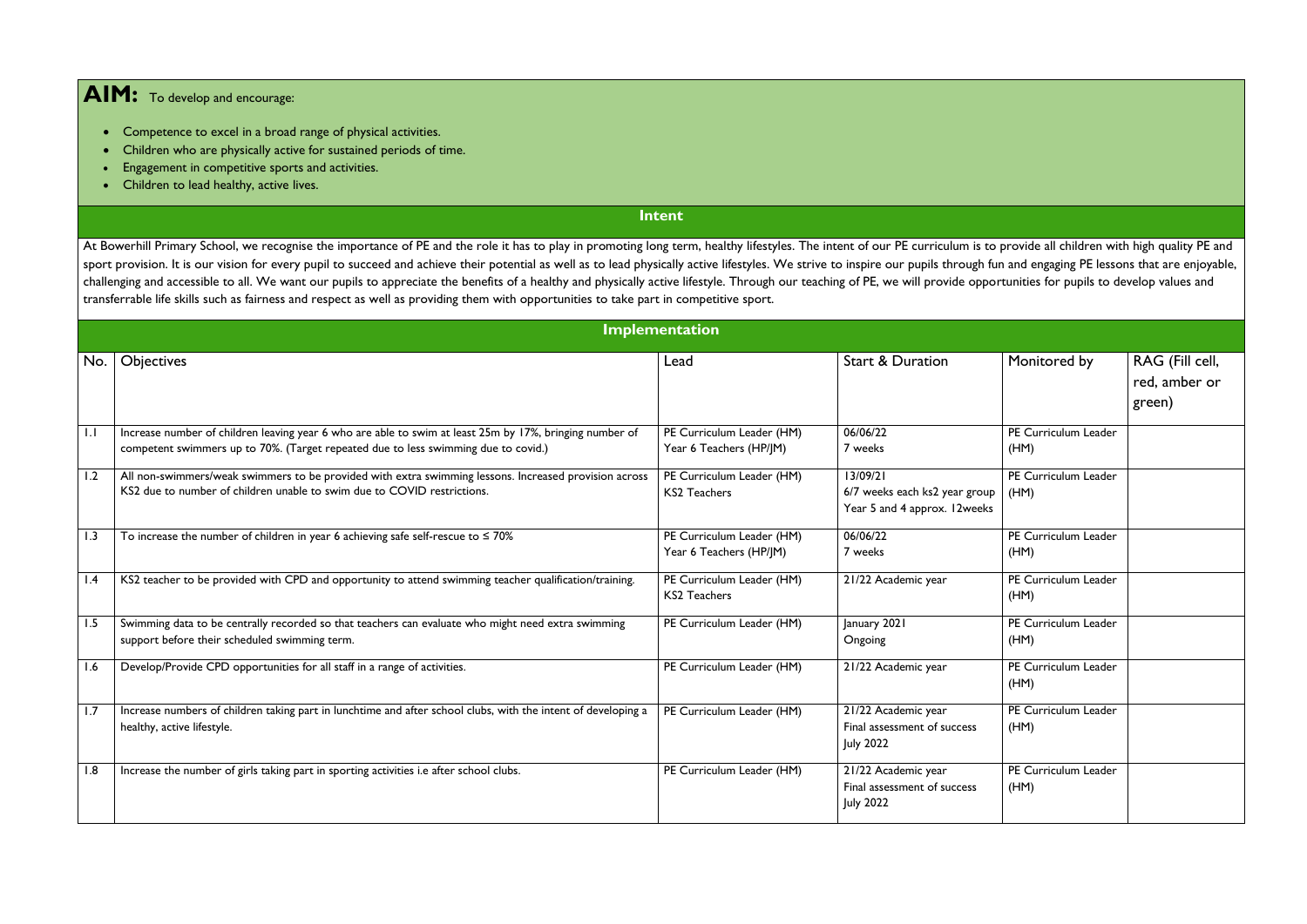## **AIM:** To develop and encourage:

- Competence to excel in a broad range of physical activities.
- Children who are physically active for sustained periods of time.
- Engagement in competitive sports and activities.
- Children to lead healthy, active lives.

## **Intent**

At Bowerhill Primary School, we recognise the importance of PE and the role it has to play in promoting long term, healthy lifestyles. The intent of our PE curriculum is to provide all children with high quality PE and sport provision. It is our vision for every pupil to succeed and achieve their potential as well as to lead physically active lifestyles. We strive to inspire our pupils through fun and engaging PE lessons that are enjoyab challenging and accessible to all. We want our pupils to appreciate the benefits of a healthy and physically active lifestyle. Through our teaching of PE, we will provide opportunities for pupils to develop values and transferrable life skills such as fairness and respect as well as providing them with opportunities to take part in competitive sport.

| <b>Implementation</b> |                                                                                                                                                                                               |                                                      |                                                                           |                              |                                            |  |  |
|-----------------------|-----------------------------------------------------------------------------------------------------------------------------------------------------------------------------------------------|------------------------------------------------------|---------------------------------------------------------------------------|------------------------------|--------------------------------------------|--|--|
| No.                   | <b>Objectives</b>                                                                                                                                                                             | Lead                                                 | <b>Start &amp; Duration</b>                                               | Monitored by                 | RAG (Fill cell,<br>red, amber or<br>green) |  |  |
| 1.1                   | Increase number of children leaving year 6 who are able to swim at least 25m by 17%, bringing number of<br>competent swimmers up to 70%. (Target repeated due to less swimming due to covid.) | PE Curriculum Leader (HM)<br>Year 6 Teachers (HP/JM) | 06/06/22<br>7 weeks                                                       | PE Curriculum Leader<br>(HM) |                                            |  |  |
| 1.2                   | All non-swimmers/weak swimmers to be provided with extra swimming lessons. Increased provision across<br>KS2 due to number of children unable to swim due to COVID restrictions.              | PE Curriculum Leader (HM)<br><b>KS2 Teachers</b>     | 13/09/21<br>6/7 weeks each ks2 year group<br>Year 5 and 4 approx. 12weeks | PE Curriculum Leader<br>(HM) |                                            |  |  |
| 1.3                   | To increase the number of children in year 6 achieving safe self-rescue to $\leq 70\%$                                                                                                        | PE Curriculum Leader (HM)<br>Year 6 Teachers (HP/JM) | 06/06/22<br>7 weeks                                                       | PE Curriculum Leader<br>(HM) |                                            |  |  |
| $\mathsf{I}$ .4       | KS2 teacher to be provided with CPD and opportunity to attend swimming teacher qualification/training.                                                                                        | PE Curriculum Leader (HM)<br><b>KS2 Teachers</b>     | 21/22 Academic year                                                       | PE Curriculum Leader<br>(HM) |                                            |  |  |
| 1.5                   | Swimming data to be centrally recorded so that teachers can evaluate who might need extra swimming<br>support before their scheduled swimming term.                                           | PE Curriculum Leader (HM)                            | January 2021<br>Ongoing                                                   | PE Curriculum Leader<br>(HM) |                                            |  |  |
| 1.6                   | Develop/Provide CPD opportunities for all staff in a range of activities.                                                                                                                     | PE Curriculum Leader (HM)                            | 21/22 Academic year                                                       | PE Curriculum Leader<br>(HM) |                                            |  |  |
| 1.7                   | Increase numbers of children taking part in lunchtime and after school clubs, with the intent of developing a<br>healthy, active lifestyle.                                                   | PE Curriculum Leader (HM)                            | 21/22 Academic year<br>Final assessment of success<br><b>July 2022</b>    | PE Curriculum Leader<br>(HM) |                                            |  |  |
| 8.1                   | Increase the number of girls taking part in sporting activities i.e after school clubs.                                                                                                       | PE Curriculum Leader (HM)                            | 21/22 Academic year<br>Final assessment of success<br><b>July 2022</b>    | PE Curriculum Leader<br>(HM) |                                            |  |  |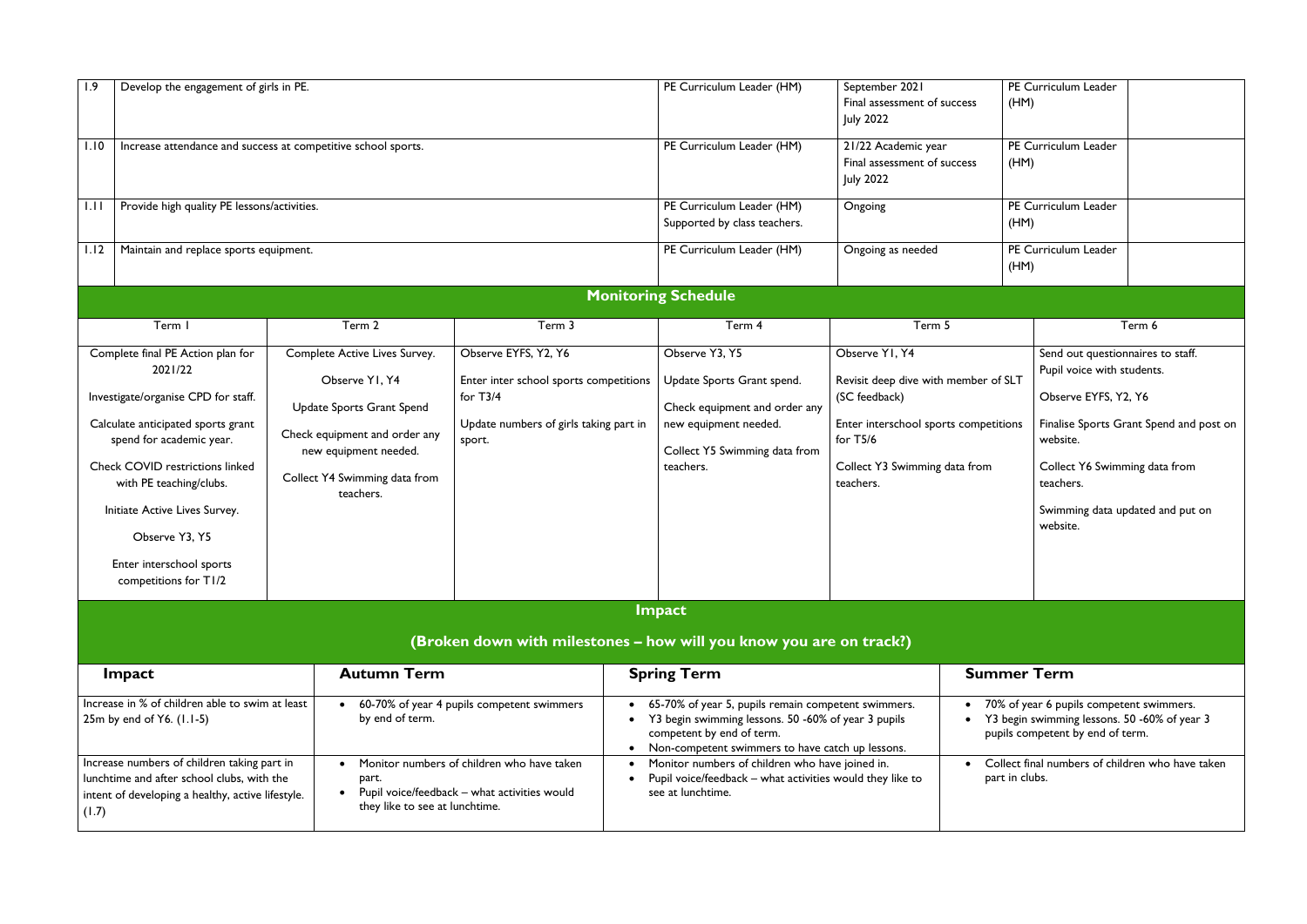| 1.9                                                                                                                                                     | Develop the engagement of girls in PE.                                                                                                                                                                                                                                                                                             |                                                                                                                                                                                      |                                                                                                                                  |  | PE Curriculum Leader (HM)                                                                                                                                                                   | September 2021<br>Final assessment of success<br><b>July 2022</b>                                                                                                            | (HM)               | PE Curriculum Leader                                                                                                                                                                              |                                         |
|---------------------------------------------------------------------------------------------------------------------------------------------------------|------------------------------------------------------------------------------------------------------------------------------------------------------------------------------------------------------------------------------------------------------------------------------------------------------------------------------------|--------------------------------------------------------------------------------------------------------------------------------------------------------------------------------------|----------------------------------------------------------------------------------------------------------------------------------|--|---------------------------------------------------------------------------------------------------------------------------------------------------------------------------------------------|------------------------------------------------------------------------------------------------------------------------------------------------------------------------------|--------------------|---------------------------------------------------------------------------------------------------------------------------------------------------------------------------------------------------|-----------------------------------------|
| 1.10                                                                                                                                                    | Increase attendance and success at competitive school sports.                                                                                                                                                                                                                                                                      |                                                                                                                                                                                      |                                                                                                                                  |  | PE Curriculum Leader (HM)                                                                                                                                                                   | 21/22 Academic year<br>Final assessment of success<br><b>July 2022</b>                                                                                                       | (HM)               | PE Curriculum Leader                                                                                                                                                                              |                                         |
| 1.11                                                                                                                                                    | Provide high quality PE lessons/activities.                                                                                                                                                                                                                                                                                        |                                                                                                                                                                                      |                                                                                                                                  |  | PE Curriculum Leader (HM)<br>Supported by class teachers.                                                                                                                                   | Ongoing                                                                                                                                                                      | (HM)               | PE Curriculum Leader                                                                                                                                                                              |                                         |
| 1.12                                                                                                                                                    | Maintain and replace sports equipment.                                                                                                                                                                                                                                                                                             |                                                                                                                                                                                      |                                                                                                                                  |  | PE Curriculum Leader (HM)                                                                                                                                                                   | Ongoing as needed                                                                                                                                                            | (HM)               | PE Curriculum Leader                                                                                                                                                                              |                                         |
|                                                                                                                                                         |                                                                                                                                                                                                                                                                                                                                    |                                                                                                                                                                                      |                                                                                                                                  |  | <b>Monitoring Schedule</b>                                                                                                                                                                  |                                                                                                                                                                              |                    |                                                                                                                                                                                                   |                                         |
|                                                                                                                                                         | Term I                                                                                                                                                                                                                                                                                                                             | Term 2                                                                                                                                                                               | Term 3                                                                                                                           |  | Term 4                                                                                                                                                                                      | Term 5                                                                                                                                                                       |                    |                                                                                                                                                                                                   | Term 6                                  |
|                                                                                                                                                         | Complete final PE Action plan for<br>2021/22<br>Investigate/organise CPD for staff.<br>Calculate anticipated sports grant<br>spend for academic year.<br><b>Check COVID restrictions linked</b><br>with PE teaching/clubs.<br>Initiate Active Lives Survey.<br>Observe Y3, Y5<br>Enter interschool sports<br>competitions for T1/2 | Complete Active Lives Survey.<br>Observe YI, Y4<br>Update Sports Grant Spend<br>Check equipment and order any<br>new equipment needed.<br>Collect Y4 Swimming data from<br>teachers. | Observe EYFS, Y2, Y6<br>Enter inter school sports competitions<br>for $T3/4$<br>Update numbers of girls taking part in<br>sport. |  | Observe Y3, Y5<br>Update Sports Grant spend.<br>Check equipment and order any<br>new equipment needed.<br>Collect Y5 Swimming data from<br>teachers.                                        | Observe YI, Y4<br>Revisit deep dive with member of SLT<br>(SC feedback)<br>Enter interschool sports competitions<br>for $T5/6$<br>Collect Y3 Swimming data from<br>teachers. |                    | Send out questionnaires to staff.<br>Pupil voice with students.<br>Observe EYFS, Y2, Y6<br>website.<br>Collect Y6 Swimming data from<br>teachers.<br>Swimming data updated and put on<br>website. | Finalise Sports Grant Spend and post on |
| <b>Impact</b>                                                                                                                                           |                                                                                                                                                                                                                                                                                                                                    |                                                                                                                                                                                      |                                                                                                                                  |  |                                                                                                                                                                                             |                                                                                                                                                                              |                    |                                                                                                                                                                                                   |                                         |
| (Broken down with milestones - how will you know you are on track?)                                                                                     |                                                                                                                                                                                                                                                                                                                                    |                                                                                                                                                                                      |                                                                                                                                  |  |                                                                                                                                                                                             |                                                                                                                                                                              |                    |                                                                                                                                                                                                   |                                         |
|                                                                                                                                                         | Impact                                                                                                                                                                                                                                                                                                                             | <b>Autumn Term</b>                                                                                                                                                                   |                                                                                                                                  |  | <b>Spring Term</b>                                                                                                                                                                          |                                                                                                                                                                              | <b>Summer Term</b> |                                                                                                                                                                                                   |                                         |
| Increase in % of children able to swim at least<br>$25m$ by end of Y6. $(1.1-5)$                                                                        |                                                                                                                                                                                                                                                                                                                                    | by end of term.                                                                                                                                                                      | 60-70% of year 4 pupils competent swimmers<br>$\bullet$                                                                          |  | 65-70% of year 5, pupils remain competent swimmers.<br>Y3 begin swimming lessons. 50 -60% of year 3 pupils<br>competent by end of term.<br>Non-competent swimmers to have catch up lessons. |                                                                                                                                                                              |                    | 70% of year 6 pupils competent swimmers.<br>Y3 begin swimming lessons. 50 -60% of year 3<br>pupils competent by end of term.                                                                      |                                         |
| Increase numbers of children taking part in<br>lunchtime and after school clubs, with the<br>intent of developing a healthy, active lifestyle.<br>(1.7) |                                                                                                                                                                                                                                                                                                                                    | part.<br>$\bullet$<br>they like to see at lunchtime.                                                                                                                                 | Monitor numbers of children who have taken<br>Pupil voice/feedback - what activities would                                       |  | Monitor numbers of children who have joined in.<br>Pupil voice/feedback - what activities would they like to<br>see at lunchtime.                                                           | Collect final numbers of children who have taken<br>part in clubs.                                                                                                           |                    |                                                                                                                                                                                                   |                                         |